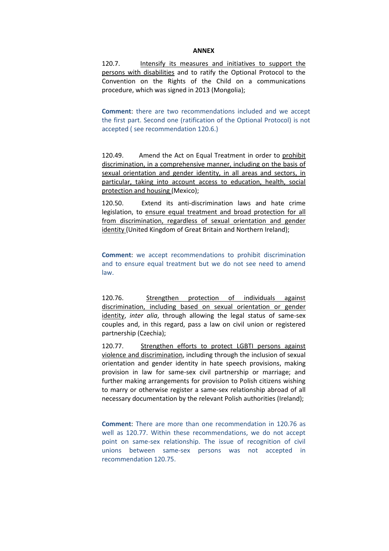## **ANNEX**

120.7. Intensify its measures and initiatives to support the persons with disabilities and to ratify the Optional Protocol to the Convention on the Rights of the Child on a communications procedure, which was signed in 2013 (Mongolia);

**Comment**: there are two recommendations included and we accept the first part. Second one (ratification of the Optional Protocol) is not accepted ( see recommendation 120.6.)

120.49. Amend the Act on Equal Treatment in order to prohibit discrimination, in a comprehensive manner, including on the basis of sexual orientation and gender identity, in all areas and sectors, in particular, taking into account access to education, health, social protection and housing (Mexico);

120.50. Extend its anti-discrimination laws and hate crime legislation, to ensure equal treatment and broad protection for all from discrimination, regardless of sexual orientation and gender identity (United Kingdom of Great Britain and Northern Ireland);

**Comment:** we accept recommendations to prohibit discrimination and to ensure equal treatment but we do not see need to amend law.

120.76. Strengthen protection of individuals against discrimination, including based on sexual orientation or gender identity, *inter alia*, through allowing the legal status of same-sex couples and, in this regard, pass a law on civil union or registered partnership (Czechia);

120.77. Strengthen efforts to protect LGBTI persons against violence and discrimination, including through the inclusion of sexual orientation and gender identity in hate speech provisions, making provision in law for same-sex civil partnership or marriage; and further making arrangements for provision to Polish citizens wishing to marry or otherwise register a same-sex relationship abroad of all necessary documentation by the relevant Polish authorities (Ireland);

**Comment**: There are more than one recommendation in 120.76 as well as 120.77. Within these recommendations, we do not accept point on same-sex relationship. The issue of recognition of civil unions between same-sex persons was not accepted in recommendation 120.75.